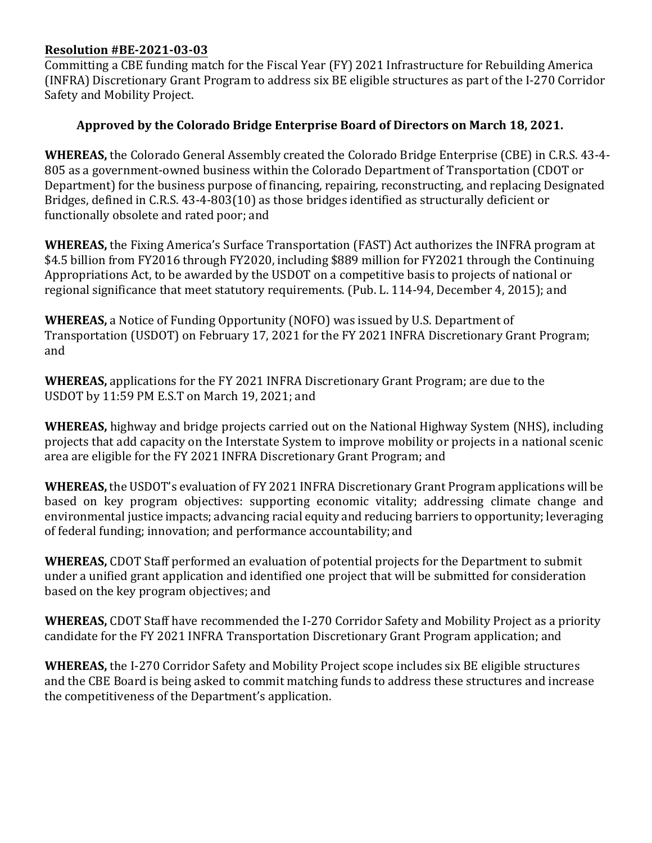## **Resolution #BE-2021-03-03**

Committing a CBE funding match for the Fiscal Year (FY) 2021 Infrastructure for Rebuilding America (INFRA) Discretionary Grant Program to address six BE eligible structures as part of the I-270 Corridor Safety and Mobility Project.

## **Approved by the Colorado Bridge Enterprise Board of Directors on March 18, 2021.**

**WHEREAS,** the Colorado General Assembly created the Colorado Bridge Enterprise (CBE) in C.R.S. 43-4- 805 as a government-owned business within the Colorado Department of Transportation (CDOT or Department) for the business purpose of financing, repairing, reconstructing, and replacing Designated Bridges, defined in C.R.S. 43-4-803(10) as those bridges identified as structurally deficient or functionally obsolete and rated poor; and

**WHEREAS,** the Fixing America's Surface Transportation (FAST) Act authorizes the INFRA program at \$4.5 billion from FY2016 through FY2020, including \$889 million for FY2021 through the Continuing Appropriations Act, to be awarded by the USDOT on a competitive basis to projects of national or regional significance that meet statutory requirements. (Pub. L. 114-94, December 4, 2015); and

**WHEREAS,** a Notice of Funding Opportunity (NOFO) was issued by U.S. Department of Transportation (USDOT) on February 17, 2021 for the FY 2021 INFRA Discretionary Grant Program; and

**WHEREAS,** applications for the FY 2021 INFRA Discretionary Grant Program; are due to the USDOT by 11:59 PM E.S.T on March 19, 2021; and

**WHEREAS,** highway and bridge projects carried out on the National Highway System (NHS), including projects that add capacity on the Interstate System to improve mobility or projects in a national scenic area are eligible for the FY 2021 INFRA Discretionary Grant Program; and

**WHEREAS,** the USDOT's evaluation of FY 2021 INFRA Discretionary Grant Program applications will be based on key program objectives: supporting economic vitality; addressing climate change and environmental justice impacts; advancing racial equity and reducing barriers to opportunity; leveraging of federal funding; innovation; and performance accountability; and

**WHEREAS,** CDOT Staff performed an evaluation of potential projects for the Department to submit under a unified grant application and identified one project that will be submitted for consideration based on the key program objectives; and

**WHEREAS,** CDOT Staff have recommended the I-270 Corridor Safety and Mobility Project as a priority candidate for the FY 2021 INFRA Transportation Discretionary Grant Program application; and

**WHEREAS,** the I-270 Corridor Safety and Mobility Project scope includes six BE eligible structures and the CBE Board is being asked to commit matching funds to address these structures and increase the competitiveness of the Department's application.